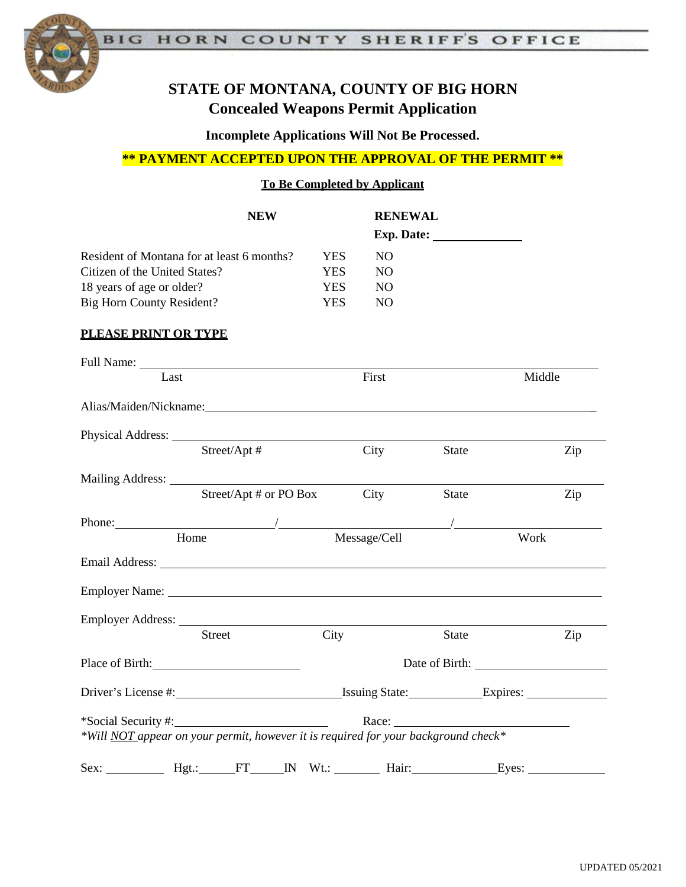

# **STATE OF MONTANA, COUNTY OF BIG HORN Concealed Weapons Permit Application**

**Incomplete Applications Will Not Be Processed.**

### **\*\* PAYMENT ACCEPTED UPON THE APPROVAL OF THE PERMIT \*\***

**To Be Completed by Applicant**

|                                            | <b>NEW</b>                                                                                                                                                                                                                     |            | <b>RENEWAL</b> |       |                     |  |
|--------------------------------------------|--------------------------------------------------------------------------------------------------------------------------------------------------------------------------------------------------------------------------------|------------|----------------|-------|---------------------|--|
| Resident of Montana for at least 6 months? |                                                                                                                                                                                                                                | <b>YES</b> | NO             |       |                     |  |
| Citizen of the United States?              |                                                                                                                                                                                                                                | <b>YES</b> | NO             |       |                     |  |
| 18 years of age or older?                  |                                                                                                                                                                                                                                | <b>YES</b> | NO.            |       |                     |  |
| <b>Big Horn County Resident?</b>           |                                                                                                                                                                                                                                | <b>YES</b> | N <sub>O</sub> |       |                     |  |
| PLEASE PRINT OR TYPE                       |                                                                                                                                                                                                                                |            |                |       |                     |  |
|                                            |                                                                                                                                                                                                                                |            |                |       |                     |  |
| Last                                       |                                                                                                                                                                                                                                |            | First          |       | Middle              |  |
|                                            | Alias/Maiden/Nickname: Nickname:                                                                                                                                                                                               |            |                |       |                     |  |
|                                            |                                                                                                                                                                                                                                |            |                |       |                     |  |
|                                            | Street/Apt #                                                                                                                                                                                                                   |            | City           | State | Zip                 |  |
|                                            |                                                                                                                                                                                                                                |            |                |       |                     |  |
|                                            | Street/Apt # or PO Box                                                                                                                                                                                                         |            | City           | State | Zip                 |  |
|                                            |                                                                                                                                                                                                                                |            |                |       |                     |  |
|                                            |                                                                                                                                                                                                                                |            |                |       |                     |  |
|                                            | Email Address: No. 1996. The Second Second Second Second Second Second Second Second Second Second Second Second Second Second Second Second Second Second Second Second Second Second Second Second Second Second Second Seco |            |                |       |                     |  |
|                                            | Employer Name: Name:                                                                                                                                                                                                           |            |                |       |                     |  |
|                                            |                                                                                                                                                                                                                                |            |                |       |                     |  |
|                                            | Street                                                                                                                                                                                                                         | City       |                | State | Zip                 |  |
|                                            | Place of Birth: 1999                                                                                                                                                                                                           |            |                |       | Date of Birth: 1988 |  |
|                                            |                                                                                                                                                                                                                                |            |                |       |                     |  |
|                                            |                                                                                                                                                                                                                                |            |                | Race: |                     |  |
|                                            | *Will NOT appear on your permit, however it is required for your background check*                                                                                                                                             |            |                |       |                     |  |
|                                            | Sex: Hgt.: FT IN Wt.: Hair: Eyes:                                                                                                                                                                                              |            |                |       |                     |  |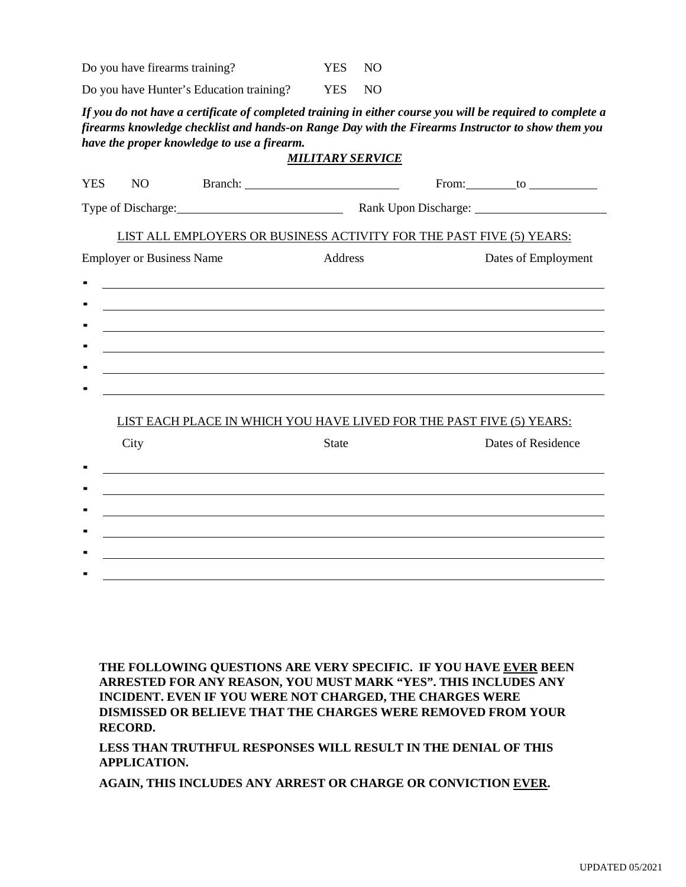Do you have firearms training? YES NO

Do you have Hunter's Education training? YES NO

*If you do not have a certificate of completed training in either course you will be required to complete a firearms knowledge checklist and hands-on Range Day with the Firearms Instructor to show them you have the proper knowledge to use a firearm.*

#### *MILITARY SERVICE*

| <b>YES</b>                                                           | N <sub>O</sub>                   |  |              |                                                                      | From: $\qquad \qquad$ to $\qquad \qquad$ |
|----------------------------------------------------------------------|----------------------------------|--|--------------|----------------------------------------------------------------------|------------------------------------------|
|                                                                      |                                  |  |              |                                                                      | Rank Upon Discharge: 1986                |
|                                                                      |                                  |  |              | LIST ALL EMPLOYERS OR BUSINESS ACTIVITY FOR THE PAST FIVE (5) YEARS: |                                          |
|                                                                      | <b>Employer or Business Name</b> |  | Address      |                                                                      | Dates of Employment                      |
|                                                                      |                                  |  |              |                                                                      |                                          |
|                                                                      |                                  |  |              |                                                                      |                                          |
|                                                                      |                                  |  |              |                                                                      |                                          |
|                                                                      |                                  |  |              |                                                                      |                                          |
|                                                                      |                                  |  |              |                                                                      |                                          |
|                                                                      |                                  |  |              |                                                                      |                                          |
| LIST EACH PLACE IN WHICH YOU HAVE LIVED FOR THE PAST FIVE (5) YEARS: |                                  |  |              |                                                                      |                                          |
|                                                                      | City                             |  | <b>State</b> |                                                                      | Dates of Residence                       |
|                                                                      |                                  |  |              |                                                                      |                                          |
|                                                                      |                                  |  |              |                                                                      |                                          |
|                                                                      |                                  |  |              |                                                                      |                                          |
|                                                                      |                                  |  |              |                                                                      |                                          |
|                                                                      |                                  |  |              |                                                                      |                                          |
|                                                                      |                                  |  |              |                                                                      |                                          |
|                                                                      |                                  |  |              |                                                                      |                                          |

**THE FOLLOWING QUESTIONS ARE VERY SPECIFIC. IF YOU HAVE EVER BEEN ARRESTED FOR ANY REASON, YOU MUST MARK "YES". THIS INCLUDES ANY INCIDENT. EVEN IF YOU WERE NOT CHARGED, THE CHARGES WERE DISMISSED OR BELIEVE THAT THE CHARGES WERE REMOVED FROM YOUR RECORD.**

**LESS THAN TRUTHFUL RESPONSES WILL RESULT IN THE DENIAL OF THIS APPLICATION.**

**AGAIN, THIS INCLUDES ANY ARREST OR CHARGE OR CONVICTION EVER.**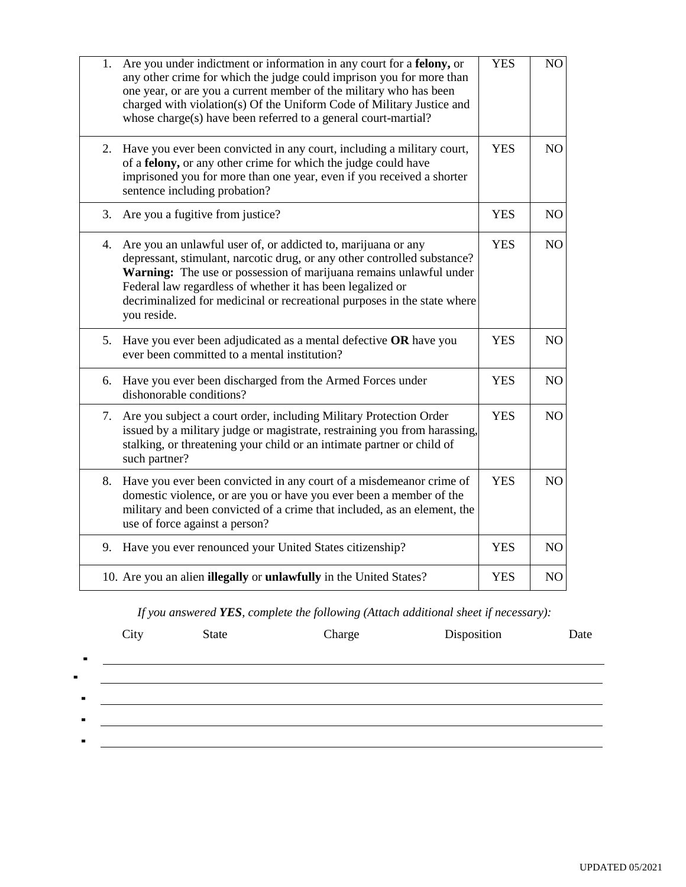| 1. | Are you under indictment or information in any court for a felony, or<br>any other crime for which the judge could imprison you for more than<br>one year, or are you a current member of the military who has been<br>charged with violation(s) Of the Uniform Code of Military Justice and<br>whose charge(s) have been referred to a general court-martial?           | <b>YES</b> | NO             |
|----|--------------------------------------------------------------------------------------------------------------------------------------------------------------------------------------------------------------------------------------------------------------------------------------------------------------------------------------------------------------------------|------------|----------------|
| 2. | Have you ever been convicted in any court, including a military court,<br>of a felony, or any other crime for which the judge could have<br>imprisoned you for more than one year, even if you received a shorter<br>sentence including probation?                                                                                                                       | <b>YES</b> | NO             |
| 3. | Are you a fugitive from justice?                                                                                                                                                                                                                                                                                                                                         | <b>YES</b> | NO             |
| 4. | Are you an unlawful user of, or addicted to, marijuana or any<br>depressant, stimulant, narcotic drug, or any other controlled substance?<br>Warning: The use or possession of marijuana remains unlawful under<br>Federal law regardless of whether it has been legalized or<br>decriminalized for medicinal or recreational purposes in the state where<br>you reside. | <b>YES</b> | NO             |
|    | 5. Have you ever been adjudicated as a mental defective OR have you<br>ever been committed to a mental institution?                                                                                                                                                                                                                                                      | <b>YES</b> | NO             |
| 6. | Have you ever been discharged from the Armed Forces under<br>dishonorable conditions?                                                                                                                                                                                                                                                                                    | <b>YES</b> | NO             |
| 7. | Are you subject a court order, including Military Protection Order<br>issued by a military judge or magistrate, restraining you from harassing,<br>stalking, or threatening your child or an intimate partner or child of<br>such partner?                                                                                                                               | <b>YES</b> | NO             |
| 8. | Have you ever been convicted in any court of a misdemeanor crime of<br>domestic violence, or are you or have you ever been a member of the<br>military and been convicted of a crime that included, as an element, the<br>use of force against a person?                                                                                                                 | <b>YES</b> | NO             |
| 9. | Have you ever renounced your United States citizenship?                                                                                                                                                                                                                                                                                                                  | <b>YES</b> | NO             |
|    | 10. Are you an alien illegally or unlawfully in the United States?                                                                                                                                                                                                                                                                                                       | <b>YES</b> | N <sub>O</sub> |

*If you answered YES, complete the following (Attach additional sheet if necessary):*

|                | City | <b>State</b> | Charge | Disposition | Date |
|----------------|------|--------------|--------|-------------|------|
| $\blacksquare$ |      |              |        |             |      |
|                |      |              |        |             |      |
| $\blacksquare$ |      |              |        |             |      |
| $\blacksquare$ |      |              |        |             |      |
| $\blacksquare$ |      |              |        |             |      |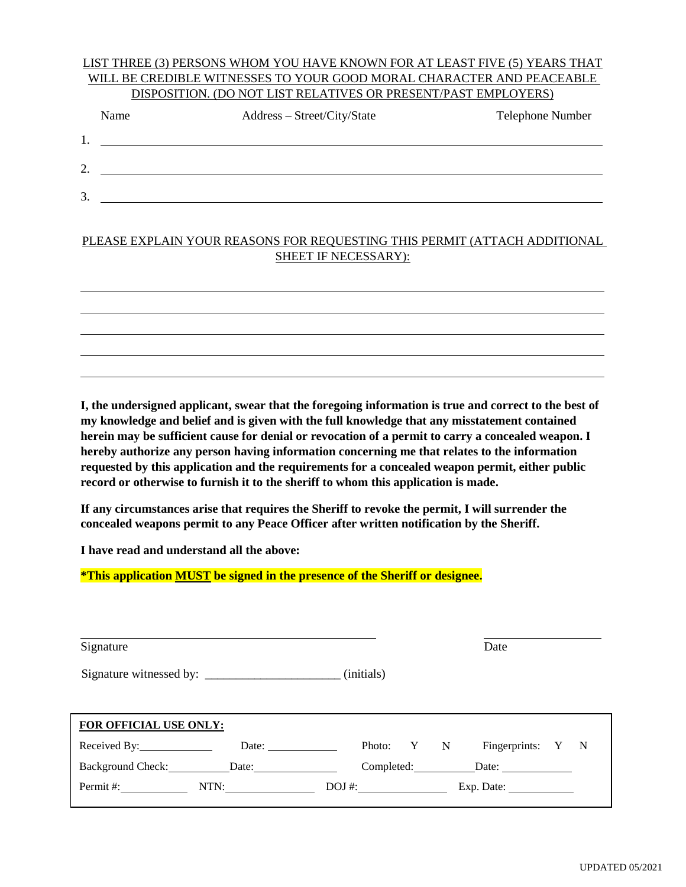#### LIST THREE (3) PERSONS WHOM YOU HAVE KNOWN FOR AT LEAST FIVE (5) YEARS THAT WILL BE CREDIBLE WITNESSES TO YOUR GOOD MORAL CHARACTER AND PEACEABLE DISPOSITION. (DO NOT LIST RELATIVES OR PRESENT/PAST EMPLOYERS)

|         | Name | Address - Street/City/State | Telephone Number |
|---------|------|-----------------------------|------------------|
| 1.      |      |                             |                  |
| C<br>۷. |      |                             |                  |
| 3.      |      |                             |                  |
|         |      |                             |                  |

### PLEASE EXPLAIN YOUR REASONS FOR REQUESTING THIS PERMIT (ATTACH ADDITIONAL SHEET IF NECESSARY):



**I, the undersigned applicant, swear that the foregoing information is true and correct to the best of my knowledge and belief and is given with the full knowledge that any misstatement contained herein may be sufficient cause for denial or revocation of a permit to carry a concealed weapon. I hereby authorize any person having information concerning me that relates to the information requested by this application and the requirements for a concealed weapon permit, either public record or otherwise to furnish it to the sheriff to whom this application is made.**

**If any circumstances arise that requires the Sheriff to revoke the permit, I will surrender the concealed weapons permit to any Peace Officer after written notification by the Sheriff.**

**I have read and understand all the above:**

### **\*This application MUST be signed in the presence of the Sheriff or designee.**

| Signature                     |       |  |            |  |  | Date                         |  |
|-------------------------------|-------|--|------------|--|--|------------------------------|--|
|                               |       |  |            |  |  |                              |  |
|                               |       |  |            |  |  |                              |  |
| <b>FOR OFFICIAL USE ONLY:</b> |       |  |            |  |  |                              |  |
| Received By: Next Control By: | Date: |  |            |  |  | Photo: Y N Fingerprints: Y N |  |
| Background Check: Date: Date: |       |  |            |  |  |                              |  |
| Permit #:                     | NTN:  |  | $DOJ \#$ : |  |  | Exp. Date:                   |  |
|                               |       |  |            |  |  |                              |  |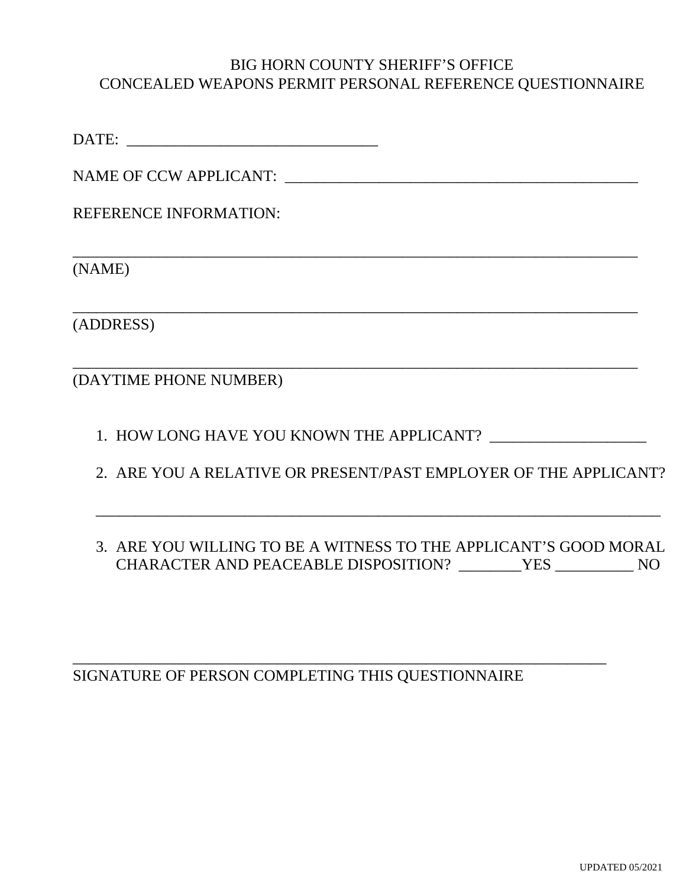## BIG HORN COUNTY SHERIFF'S OFFICE CONCEALED WEAPONS PERMIT PERSONAL REFERENCE QUESTIONNAIRE

\_\_\_\_\_\_\_\_\_\_\_\_\_\_\_\_\_\_\_\_\_\_\_\_\_\_\_\_\_\_\_\_\_\_\_\_\_\_\_\_\_\_\_\_\_\_\_\_\_\_\_\_\_\_\_\_\_\_\_\_\_\_\_\_\_\_\_\_\_\_\_\_

\_\_\_\_\_\_\_\_\_\_\_\_\_\_\_\_\_\_\_\_\_\_\_\_\_\_\_\_\_\_\_\_\_\_\_\_\_\_\_\_\_\_\_\_\_\_\_\_\_\_\_\_\_\_\_\_\_\_\_\_\_\_\_\_\_\_\_\_\_\_\_\_

\_\_\_\_\_\_\_\_\_\_\_\_\_\_\_\_\_\_\_\_\_\_\_\_\_\_\_\_\_\_\_\_\_\_\_\_\_\_\_\_\_\_\_\_\_\_\_\_\_\_\_\_\_\_\_\_\_\_\_\_\_\_\_\_\_\_\_\_\_\_\_\_

DATE: \_\_\_\_\_\_\_\_\_\_\_\_\_\_\_\_\_\_\_\_\_\_\_\_\_\_\_\_\_\_\_\_

NAME OF CCW APPLICANT: \_\_\_\_\_\_\_\_\_\_\_\_\_\_\_\_\_\_\_\_\_\_\_\_\_\_\_\_\_\_\_\_\_\_\_\_\_\_\_\_\_\_\_\_\_

REFERENCE INFORMATION:

(NAME)

(ADDRESS)

(DAYTIME PHONE NUMBER)

- 1. HOW LONG HAVE YOU KNOWN THE APPLICANT?  $\qquad$
- 2. ARE YOU A RELATIVE OR PRESENT/PAST EMPLOYER OF THE APPLICANT?

\_\_\_\_\_\_\_\_\_\_\_\_\_\_\_\_\_\_\_\_\_\_\_\_\_\_\_\_\_\_\_\_\_\_\_\_\_\_\_\_\_\_\_\_\_\_\_\_\_\_\_\_\_\_\_\_\_\_\_\_\_\_\_\_\_\_\_\_\_\_\_\_

3. ARE YOU WILLING TO BE A WITNESS TO THE APPLICANT'S GOOD MORAL CHARACTER AND PEACEABLE DISPOSITION? \_\_\_\_\_\_\_\_YES \_\_\_\_\_\_\_\_\_\_ NO

SIGNATURE OF PERSON COMPLETING THIS QUESTIONNAIRE

\_\_\_\_\_\_\_\_\_\_\_\_\_\_\_\_\_\_\_\_\_\_\_\_\_\_\_\_\_\_\_\_\_\_\_\_\_\_\_\_\_\_\_\_\_\_\_\_\_\_\_\_\_\_\_\_\_\_\_\_\_\_\_\_\_\_\_\_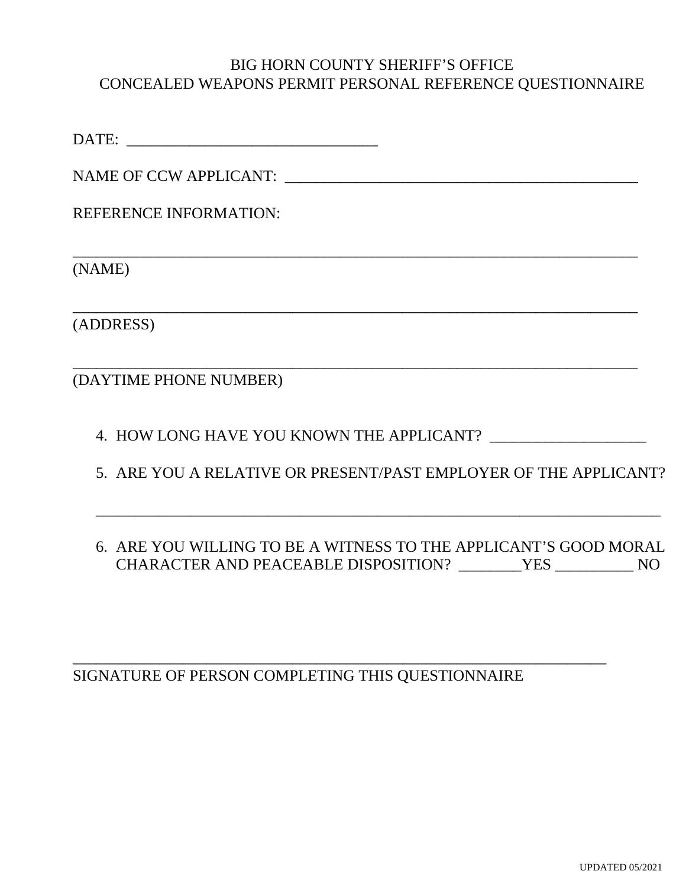## BIG HORN COUNTY SHERIFF'S OFFICE CONCEALED WEAPONS PERMIT PERSONAL REFERENCE QUESTIONNAIRE

\_\_\_\_\_\_\_\_\_\_\_\_\_\_\_\_\_\_\_\_\_\_\_\_\_\_\_\_\_\_\_\_\_\_\_\_\_\_\_\_\_\_\_\_\_\_\_\_\_\_\_\_\_\_\_\_\_\_\_\_\_\_\_\_\_\_\_\_\_\_\_\_

\_\_\_\_\_\_\_\_\_\_\_\_\_\_\_\_\_\_\_\_\_\_\_\_\_\_\_\_\_\_\_\_\_\_\_\_\_\_\_\_\_\_\_\_\_\_\_\_\_\_\_\_\_\_\_\_\_\_\_\_\_\_\_\_\_\_\_\_\_\_\_\_

\_\_\_\_\_\_\_\_\_\_\_\_\_\_\_\_\_\_\_\_\_\_\_\_\_\_\_\_\_\_\_\_\_\_\_\_\_\_\_\_\_\_\_\_\_\_\_\_\_\_\_\_\_\_\_\_\_\_\_\_\_\_\_\_\_\_\_\_\_\_\_\_

DATE: \_\_\_\_\_\_\_\_\_\_\_\_\_\_\_\_\_\_\_\_\_\_\_\_\_\_\_\_\_\_\_\_

NAME OF CCW APPLICANT: \_\_\_\_\_\_\_\_\_\_\_\_\_\_\_\_\_\_\_\_\_\_\_\_\_\_\_\_\_\_\_\_\_\_\_\_\_\_\_\_\_\_\_\_\_

REFERENCE INFORMATION:

(NAME)

(ADDRESS)

(DAYTIME PHONE NUMBER)

4. HOW LONG HAVE YOU KNOWN THE APPLICANT?  $\_\_$ 

5. ARE YOU A RELATIVE OR PRESENT/PAST EMPLOYER OF THE APPLICANT?

\_\_\_\_\_\_\_\_\_\_\_\_\_\_\_\_\_\_\_\_\_\_\_\_\_\_\_\_\_\_\_\_\_\_\_\_\_\_\_\_\_\_\_\_\_\_\_\_\_\_\_\_\_\_\_\_\_\_\_\_\_\_\_\_\_\_\_\_\_\_\_\_

# 6. ARE YOU WILLING TO BE A WITNESS TO THE APPLICANT'S GOOD MORAL CHARACTER AND PEACEABLE DISPOSITION? \_\_\_\_\_\_\_\_YES \_\_\_\_\_\_\_\_\_\_ NO

SIGNATURE OF PERSON COMPLETING THIS QUESTIONNAIRE

\_\_\_\_\_\_\_\_\_\_\_\_\_\_\_\_\_\_\_\_\_\_\_\_\_\_\_\_\_\_\_\_\_\_\_\_\_\_\_\_\_\_\_\_\_\_\_\_\_\_\_\_\_\_\_\_\_\_\_\_\_\_\_\_\_\_\_\_